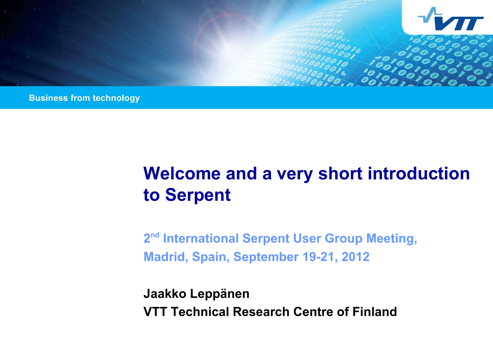

**Business from technology** 

# **Welcome and a very short introduction to Serpent**

**2 nd International Serpent User Group Meeting, Madrid, Spain, September 19-21, 2012**

**Jaakko Leppänen VTT Technical Research Centre of Finland**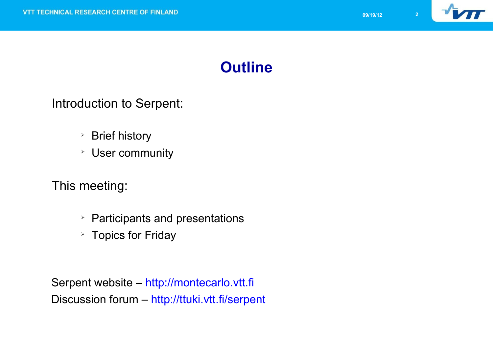

#### **Outline**

Introduction to Serpent:

- ➢ Brief history
- ➢ User community

This meeting:

- ➢ Participants and presentations
- ➢ Topics for Friday

Serpent website – http://montecarlo.vtt.fi Discussion forum – http://ttuki.vtt.fi/serpent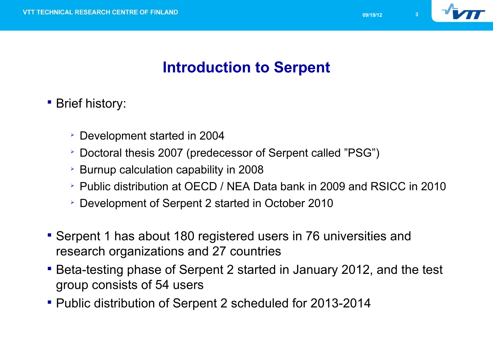

# **Introduction to Serpent**

- **Brief history:** 
	- Development started in 2004
	- Doctoral thesis 2007 (predecessor of Serpent called "PSG")
	- $\geq$  Burnup calculation capability in 2008
	- Public distribution at OECD / NEA Data bank in 2009 and RSICC in 2010
	- Development of Serpent 2 started in October 2010
- Serpent 1 has about 180 registered users in 76 universities and research organizations and 27 countries
- Beta-testing phase of Serpent 2 started in January 2012, and the test group consists of 54 users
- Public distribution of Serpent 2 scheduled for 2013-2014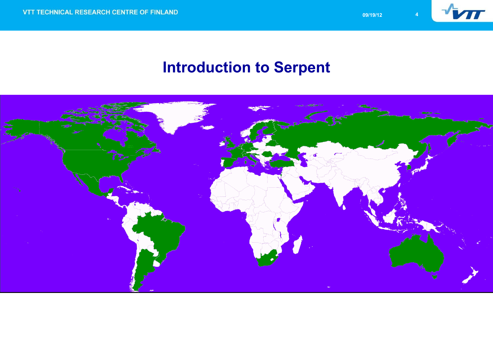

#### **Introduction to Serpent**

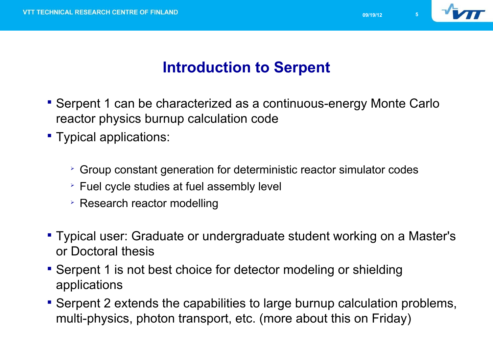

## **Introduction to Serpent**

- Serpent 1 can be characterized as a continuous-energy Monte Carlo reactor physics burnup calculation code
- Typical applications:
	- $\geq$  Group constant generation for deterministic reactor simulator codes
	- Fuel cycle studies at fuel assembly level
	- **Exerch reactor modelling**
- Typical user: Graduate or undergraduate student working on a Master's or Doctoral thesis
- Serpent 1 is not best choice for detector modeling or shielding applications
- Serpent 2 extends the capabilities to large burnup calculation problems, multi-physics, photon transport, etc. (more about this on Friday)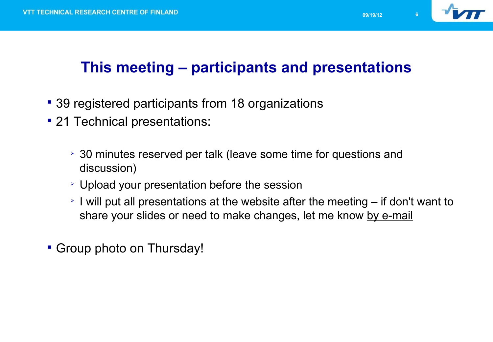

# **This meeting – participants and presentations**

- 39 registered participants from 18 organizations
- **21 Technical presentations:** 
	- 30 minutes reserved per talk (leave some time for questions and discussion)
	- Upload your presentation before the session
	- $\geq$  I will put all presentations at the website after the meeting  $-$  if don't want to share your slides or need to make changes, let me know by e-mail
- Group photo on Thursday!